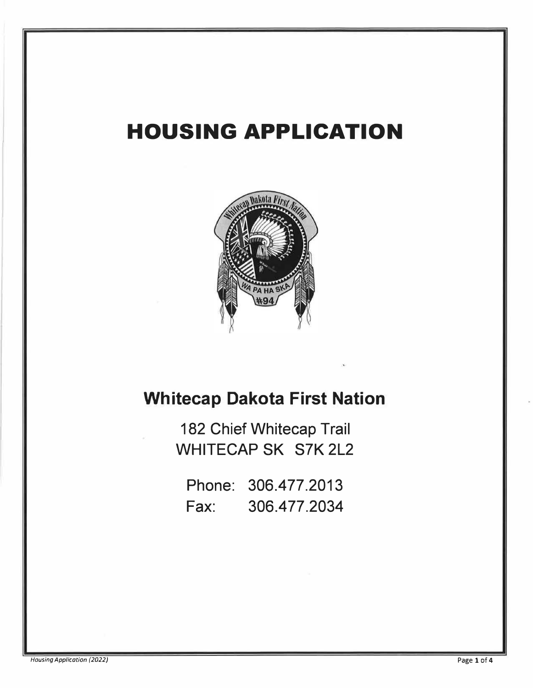## **HOUSING APPLICATION**



## **Whitecap Dakota First Nation**

182 Chief Whitecap Trail WHITECAP SK S7K 2L2

Phone: 306.477.2013 Fax: 306.477.2034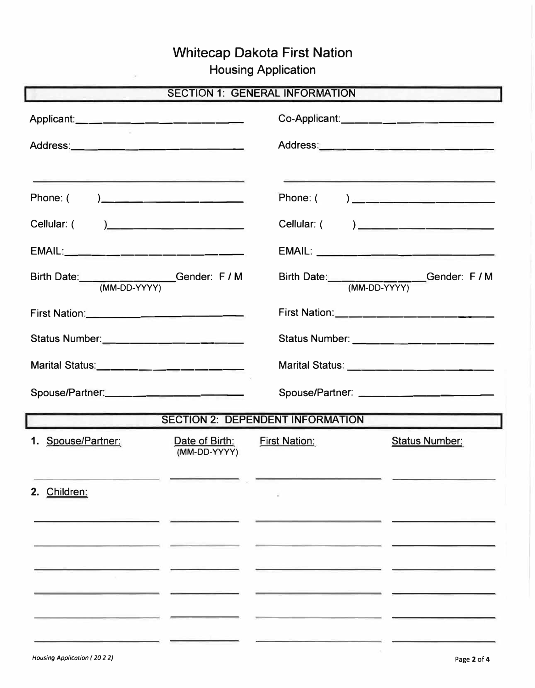## Whitecap Dakota First Nation

Housing Application

| <b>SECTION 1: GENERAL INFORMATION</b>   |                                      |                      |                                         |  |
|-----------------------------------------|--------------------------------------|----------------------|-----------------------------------------|--|
|                                         |                                      |                      |                                         |  |
|                                         |                                      |                      |                                         |  |
| Phone: ( )___________________           | <u> 1989 - Amerikaan Staatsman (</u> |                      | Phone: ( ) ____________________         |  |
| Cellular: ( )______________________     |                                      |                      | Cellular: ( ) _________________________ |  |
|                                         |                                      |                      |                                         |  |
| Birth Date: (MM-DD-YYYY) Gender: F / M  |                                      |                      | Birth Date: (MM-DD-YYYY) Gender: F / M  |  |
|                                         |                                      |                      |                                         |  |
|                                         |                                      |                      |                                         |  |
|                                         |                                      |                      |                                         |  |
| Spouse/Partner:                         |                                      |                      | Spouse/Partner: _______________________ |  |
| <b>SECTION 2: DEPENDENT INFORMATION</b> |                                      |                      |                                         |  |
| 1. Spouse/Partner:                      | Date of Birth:<br>(MM-DD-YYYY)       | <b>First Nation:</b> | <b>Status Number:</b>                   |  |
| 2. Children:                            |                                      |                      |                                         |  |
|                                         |                                      |                      |                                         |  |
|                                         |                                      |                      |                                         |  |
|                                         |                                      |                      |                                         |  |
|                                         |                                      |                      |                                         |  |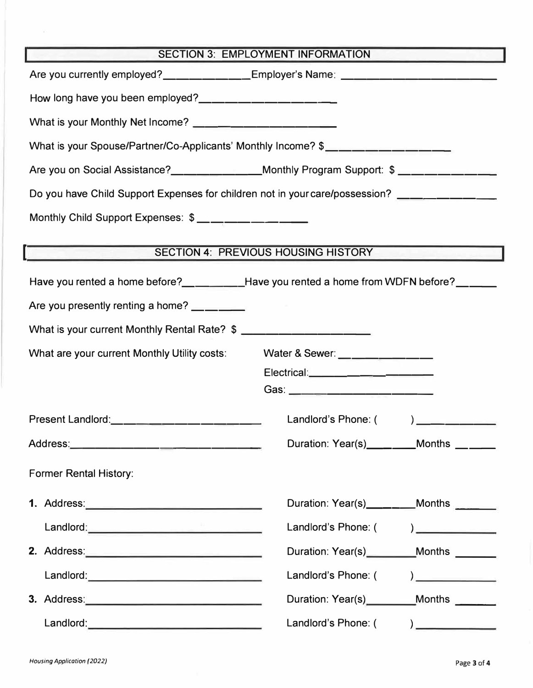| <b>SECTION 3: EMPLOYMENT INFORMATION</b>                                                                       |                                                                                                                                                                                                                                                                                                                                                                         |  |  |  |
|----------------------------------------------------------------------------------------------------------------|-------------------------------------------------------------------------------------------------------------------------------------------------------------------------------------------------------------------------------------------------------------------------------------------------------------------------------------------------------------------------|--|--|--|
|                                                                                                                | Are you currently employed?____________Employer's Name: ________________________                                                                                                                                                                                                                                                                                        |  |  |  |
| How long have you been employed?<br><u> </u>                                                                   |                                                                                                                                                                                                                                                                                                                                                                         |  |  |  |
| What is your Monthly Net Income? _________________________                                                     |                                                                                                                                                                                                                                                                                                                                                                         |  |  |  |
| What is your Spouse/Partner/Co-Applicants' Monthly Income? \$___________________                               |                                                                                                                                                                                                                                                                                                                                                                         |  |  |  |
| Are you on Social Assistance?_______________Monthly Program Support: \$ __________                             |                                                                                                                                                                                                                                                                                                                                                                         |  |  |  |
| Do you have Child Support Expenses for children not in your care/possession? ________________                  |                                                                                                                                                                                                                                                                                                                                                                         |  |  |  |
| Monthly Child Support Expenses: \$_____________                                                                |                                                                                                                                                                                                                                                                                                                                                                         |  |  |  |
|                                                                                                                |                                                                                                                                                                                                                                                                                                                                                                         |  |  |  |
|                                                                                                                | <b>SECTION 4: PREVIOUS HOUSING HISTORY</b>                                                                                                                                                                                                                                                                                                                              |  |  |  |
| Have you rented a home before?_________Have you rented a home from WDFN before?_____                           |                                                                                                                                                                                                                                                                                                                                                                         |  |  |  |
| Are you presently renting a home? ______                                                                       |                                                                                                                                                                                                                                                                                                                                                                         |  |  |  |
| What is your current Monthly Rental Rate? \$                                                                   |                                                                                                                                                                                                                                                                                                                                                                         |  |  |  |
| What are your current Monthly Utility costs:                                                                   | Water & Sewer: ______________                                                                                                                                                                                                                                                                                                                                           |  |  |  |
|                                                                                                                | Electrical:__________________                                                                                                                                                                                                                                                                                                                                           |  |  |  |
|                                                                                                                | Gas: ____________________________                                                                                                                                                                                                                                                                                                                                       |  |  |  |
| Present Landlord: ________________________                                                                     | Landlord's Phone: (<br>$\overline{\phantom{a}}$                                                                                                                                                                                                                                                                                                                         |  |  |  |
|                                                                                                                | Duration: Year(s)_________Months ______                                                                                                                                                                                                                                                                                                                                 |  |  |  |
| <b>Former Rental History:</b>                                                                                  |                                                                                                                                                                                                                                                                                                                                                                         |  |  |  |
|                                                                                                                |                                                                                                                                                                                                                                                                                                                                                                         |  |  |  |
|                                                                                                                | Duration: Year(s)_______Months ______                                                                                                                                                                                                                                                                                                                                   |  |  |  |
|                                                                                                                | Landlord's Phone: (<br>$\begin{picture}(20,20)(-0.0,0) \put(0,0){\line(1,0){10}} \put(15,0){\line(1,0){10}} \put(15,0){\line(1,0){10}} \put(15,0){\line(1,0){10}} \put(15,0){\line(1,0){10}} \put(15,0){\line(1,0){10}} \put(15,0){\line(1,0){10}} \put(15,0){\line(1,0){10}} \put(15,0){\line(1,0){10}} \put(15,0){\line(1,0){10}} \put(15,0){\line(1,0){10}} \put(15$ |  |  |  |
|                                                                                                                | Duration: Year(s)_________Months _______                                                                                                                                                                                                                                                                                                                                |  |  |  |
|                                                                                                                | Landlord's Phone: (                                                                                                                                                                                                                                                                                                                                                     |  |  |  |
| 3. Address: 2008. 2009. 2010. 2010. 2010. 2010. 2010. 2010. 2010. 2010. 2010. 2010. 2010. 2010. 2010. 2010. 20 | Duration: Year(s)_________Months                                                                                                                                                                                                                                                                                                                                        |  |  |  |
|                                                                                                                | Landlord's Phone: (                                                                                                                                                                                                                                                                                                                                                     |  |  |  |

 $\sim$   $\times$